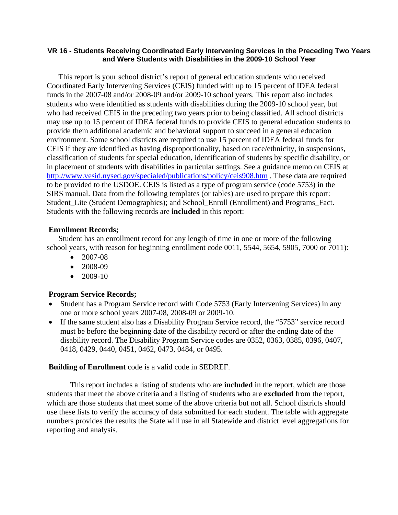### **VR 16 - Students Receiving Coordinated Early Intervening Services in the Preceding Two Years and Were Students with Disabilities in the 2009-10 School Year**

This report is your school district's report of general education students who received Coordinated Early Intervening Services (CEIS) funded with up to 15 percent of IDEA federal funds in the 2007-08 and/or 2008-09 and/or 2009-10 school years. This report also includes students who were identified as students with disabilities during the 2009-10 school year, but who had received CEIS in the preceding two years prior to being classified. All school districts may use up to 15 percent of IDEA federal funds to provide CEIS to general education students to provide them additional academic and behavioral support to succeed in a general education environment. Some school districts are required to use 15 percent of IDEA federal funds for CEIS if they are identified as having disproportionality, based on race/ethnicity, in suspensions, classification of students for special education, identification of students by specific disability, or in placement of students with disabilities in particular settings. See a guidance memo on CEIS at http://www.vesid.nysed.gov/specialed/publications/policy/ceis908.htm . These data are required to be provided to the USDOE. CEIS is listed as a type of program service (code 5753) in the SIRS manual. Data from the following templates (or tables) are used to prepare this report: Student\_Lite (Student Demographics); and School\_Enroll (Enrollment) and Programs\_Fact. Students with the following records are **included** in this report:

### **Enrollment Records;**

Student has an enrollment record for any length of time in one or more of the following school years, with reason for beginning enrollment code 0011, 5544, 5654, 5905, 7000 or 7011):

- 2007-08
- $\bullet$  2008-09
- 2009-10

### **Program Service Records;**

- Student has a Program Service record with Code 5753 (Early Intervening Services) in any one or more school years 2007-08, 2008-09 or 2009-10.
- If the same student also has a Disability Program Service record, the "5753" service record must be before the beginning date of the disability record or after the ending date of the disability record. The Disability Program Service codes are 0352, 0363, 0385, 0396, 0407, 0418, 0429, 0440, 0451, 0462, 0473, 0484, or 0495.

### **Building of Enrollment** code is a valid code in SEDREF.

 This report includes a listing of students who are **included** in the report, which are those students that meet the above criteria and a listing of students who are **excluded** from the report, which are those students that meet some of the above criteria but not all. School districts should use these lists to verify the accuracy of data submitted for each student. The table with aggregate numbers provides the results the State will use in all Statewide and district level aggregations for reporting and analysis.